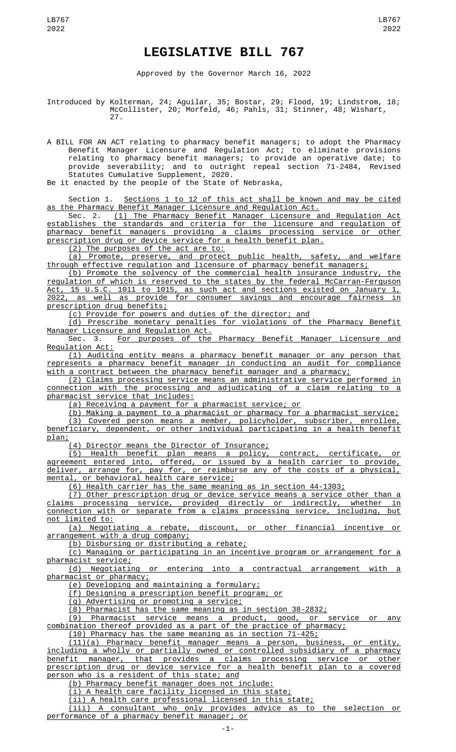## **LEGISLATIVE BILL 767**

Approved by the Governor March 16, 2022

Introduced by Kolterman, 24; Aguilar, 35; Bostar, 29; Flood, 19; Lindstrom, 18; McCollister, 20; Morfeld, 46; Pahls, 31; Stinner, 48; Wishart, 27.

A BILL FOR AN ACT relating to pharmacy benefit managers; to adopt the Pharmacy Benefit Manager Licensure and Regulation Act; to eliminate provisions relating to pharmacy benefit managers; to provide an operative date; to provide severability; and to outright repeal section 71-2484, Revised Statutes Cumulative Supplement, 2020.

Be it enacted by the people of the State of Nebraska,

Section 1. Sections 1 to 12 of this act shall be known and may be cited as the Pharmacy Benefit Manager Licensure and Regulation Act.

Sec. 2. <u>(1) The Pharmacy Benefit Manager Licensure and Regulation Act</u> establishes the standards and criteria for the licensure and regulation of pharmacy benefit managers providing a claims processing service or other prescription drug or device service for a health benefit plan.

(2) The purposes of the act are to:

(a) Promote, preserve, and protect public health, safety, and welfare through effective regulation and licensure of pharmacy benefit managers;

(b) Promote the solvency of the commercial health insurance industry, the regulation of which is reserved to the states by the federal McCarran-Ferguson Act, 15 U.S.C. 1011 to 1015, as such act and sections existed on January 1, 2022, as well as provide for consumer savings and encourage fairness in prescription drug benefits;

(c) Provide for powers and duties of the director; and

(d) Prescribe monetary penalties for violations of the Pharmacy Benefit Manager Licensure and Regulation Act.

Sec. 3. For purposes of the Pharmacy Benefit Manager Licensure and Regulation Act:

(1) Auditing entity means a pharmacy benefit manager or any person that represents a pharmacy benefit manager in conducting an audit for compliance with a contract between the pharmacy benefit manager and a pharmacy;

(2) Claims processing service means an administrative service performed in connection with the processing and adjudicating of a claim relating to a pharmacist service that includes:

(a) Receiving a payment for a pharmacist service; or

(b) Making a payment to a pharmacist or pharmacy for a pharmacist service; (3) Covered person means a member, policyholder, subscriber, enrollee, beneficiary, dependent, or other individual participating in a health benefit plan;

(4) Director means the Director of Insurance;

(5) Health benefit plan means a policy, contract, certificate, or agreement entered into, offered, or issued by a health carrier to provide, deliver, arrange for, pay for, or reimburse any of the costs of a physical, mental, or behavioral health care service;

(6) Health carrier has the same meaning as in section 44-1303;

(7) Other prescription drug or device service means a service other than a claims processing service, provided directly or indirectly, whether in connection with or separate from a claims processing service, including, but not limited to:

(a) Negotiating a rebate, discount, or other financial incentive or arrangement with a drug company;

(b) Disbursing or distributing a rebate;

(c) Managing or participating in an incentive program or arrangement for a pharmacist service;

(d) Negotiating or entering into a contractual arrangement with a pharmacist or pharmacy;

(e) Developing and maintaining a formulary;

(f) Designing a prescription benefit program; or

(g) Advertising or promoting a service;

(8) Pharmacist has the same meaning as in section 38-2832;

(9) Pharmacist service means a product, good, or service or any combination thereof provided as a part of the practice of pharmacy;

(10) Pharmacy has the same meaning as in section 71-425;

(11)(a) Pharmacy benefit manager means a person, business, or entity, including a wholly or partially owned or controlled subsidiary of a pharmacy benefit manager, that provides a claims processing service or other prescription drug or device service for a health benefit plan to a covered person who is a resident of this state; and

(b) Pharmacy benefit manager does not include:

(i) A health care facility licensed in this state;

(ii) A health care professional licensed in this state;

(iii) A consultant who only provides advice as to the selection or performance of a pharmacy benefit manager; or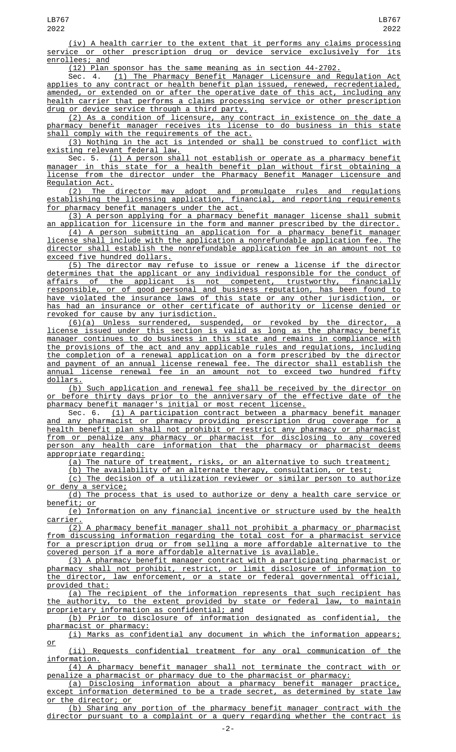(iv) A health carrier to the extent that it performs any claims processing service or other prescription drug or device service exclusively for its enrollees; and

(12) Plan sponsor has the same meaning as in section 44-2702.

(1) The Pharmacy Benefit Manager Licensure and Regulation Act applies to any contract or health benefit plan issued, renewed, recredentialed, amended, or extended on or after the operative date of this act, including any health carrier that performs a claims processing service or other prescription drug or device service through a third party.

(2) As a condition of licensure, any contract in existence on the date a pharmacy benefit manager receives its license to do business in this state shall comply with the requirements of the act.

(3) Nothing in the act is intended or shall be construed to conflict with existing relevant federal law.

Sec. 5. (1) A person shall not establish or operate as a pharmacy benefit manager in this state for a health benefit plan without first obtaining a license from the director under the Pharmacy Benefit Manager Licensure and Regulation Act.

(2) The director may adopt and promulgate rules and regulations establishing the licensing application, financial, and reporting requirements for pharmacy benefit managers under the act.

(3) A person applying for a pharmacy benefit manager license shall submit an application for licensure in the form and manner prescribed by the director.

(4) A person submitting an application for a pharmacy benefit manager license shall include with the application a nonrefundable application fee. The director shall establish the nonrefundable application fee in an amount not to exceed five hundred dollars.

(5) The director may refuse to issue or renew a license if the director determines that the applicant or any individual responsible for the conduct of<br>affairs of the applicant is not competent, trustworthy, financially affairs of the applicant is not competent, trustworthy, financially responsible, or of good personal and business reputation, has been found to have violated the insurance laws of this state or any other jurisdiction, or has had an insurance or other certificate of authority or license denied or revoked for cause by any jurisdiction.

(6)(a) Unless surrendered, suspended, or revoked by the director, a license issued under this section is valid as long as the pharmacy benefit manager continues to do business in this state and remains in compliance with the provisions of the act and any applicable rules and regulations, including the completion of a renewal application on a form prescribed by the director and payment of an annual license renewal fee. The director shall establish the annual license renewal fee in an amount not to exceed two hundred fifty dollars.

(b) Such application and renewal fee shall be received by the director on or before thirty days prior to the anniversary of the effective date of the pharmacy benefit manager's initial or most recent license.

Sec. 6. (1) A participation contract between a pharmacy benefit manager and any pharmacist or pharmacy providing prescription drug coverage for a health benefit plan shall not prohibit or restrict any pharmacy or pharmacist from or penalize any pharmacy or pharmacist for disclosing to any covered person any health care information that the pharmacy or pharmacist deems appropriate regarding:<br>(a) The nature of treatment,

risks, or an alternative to such treatment;

(b) The availability of an alternate therapy, consultation, or test;

(c) The decision of a utilization reviewer or similar person to authorize or deny a service;

(d) The process that is used to authorize or deny a health care service or benefit; or

(e) Information on any financial incentive or structure used by the health carrier.

(2) A pharmacy benefit manager shall not prohibit a pharmacy or pharmacist from discussing information regarding the total cost for a pharmacist service for a prescription drug or from selling a more affordable alternative to the covered person if a more affordable alternative is available.

(3) A pharmacy benefit manager contract with a participating pharmacist or pharmacy shall not prohibit, restrict, or limit disclosure of information to the director, law enforcement, or a state or federal governmental official, provided that:

(a) The recipient of the information represents that such recipient has the authority, to the extent provided by state or federal law, to maintain proprietary information as confidential; and

(b) Prior to disclosure of information designated as confidential, the pharmacist or pharmacy:

(i) Marks as confidential any document in which the information appears; or

(ii) Requests confidential treatment for any oral communication of the information.

(4) A pharmacy benefit manager shall not terminate the contract with or penalize a pharmacist or pharmacy due to the pharmacist or pharmacy:

(a) Disclosing information about a pharmacy benefit manager practice, except information determined to be a trade secret, or the director; or

(b) Sharing any portion of the pharmacy benefit manager contract with the director pursuant to a complaint or a query regarding whether the contract is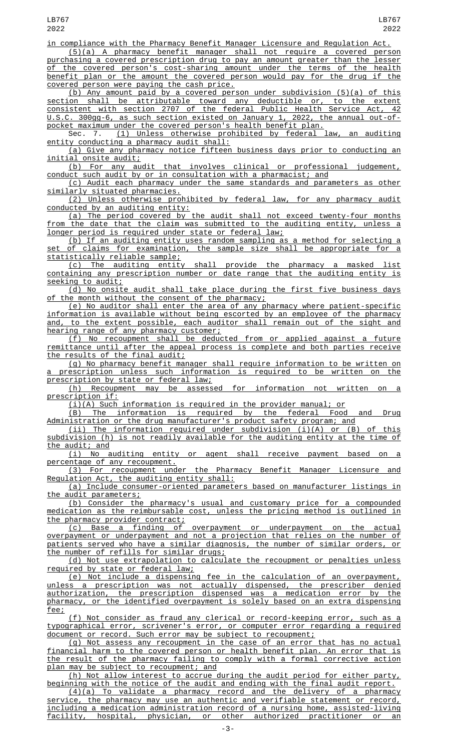in compliance with the Pharmacy Benefit Manager Licensure and Regulation Act. (5)(a) A pharmacy benefit manager shall not require a covered person

purchasing a covered prescription drug to pay an amount greater than the lesser of the covered person's cost-sharing amount under the terms of the health benefit plan or the amount the covered person would pay for the drug if the covered person were paying the cash price.

(b) Any amount paid by a covered person under subdivision (5)(a) of this section shall be attributable toward any deductible or, to the extent consistent with section 2707 of the federal Public Health Service Act, 42 U.S.C. 300gg-6, as such section existed on January 1, 2022, the annual out-ofpocket maximum under the covered person's health benefit plan.

Sec. 7. <u>(1) Unless otherwise prohibited by federal law, an auditing</u> entity conducting a pharmacy audit shall:

(a) Give any pharmacy notice fifteen business days prior to conducting an initial onsite audit;

(b) For any audit that involves clinical or professional judgement, conduct such audit by or in consultation with a pharmacist; and

(c) Audit each pharmacy under the same standards and parameters as other similarly situated pharmacies.

(2) Unless otherwise prohibited by federal law, for any pharmacy audit conducted by an auditing entity:

(a) The period covered by the audit shall not exceed twenty-four months from the date that the claim was submitted to the auditing entity, unless a longer period is required under state or federal law;

(b) If an auditing entity uses random sampling as a method for selecting a of claims for examination, the sample size shall be appropriate for a statistically reliable sample;

(c) The auditing entity shall provide the pharmacy a masked list containing any prescription number or date range that the auditing entity is seeking to audit;<br>(d) No onsite

audit shall take place during the first five business days of the month without the consent of the pharmacy;

(e) No auditor shall enter the area of any pharmacy where patient-specific information is available without being escorted by an employee of the pharmacy and, to the extent possible, each auditor shall remain out of the sight and hearing range of any pharmacy customer;

(f) No recoupment shall be deducted from or applied against a future remittance until after the appeal process is complete and both parties receive the results of the final audit;

(g) No pharmacy benefit manager shall require information to be written on a prescription unless such information is required to be written on the prescription by state or federal law;

(h) Recoupment may be assessed for information not written on a prescription if:

 $(i)(A)$  Such information is required in the provider manual; or

(B) The information is required by the federal Food and Drug Administration or the drug manufacturer's product safety program; and

(ii) The information required under subdivision (i)(A) or (B) of this subdivision (h) is not readily available for the auditing entity at the time of the audit; and

(i) No auditing entity or agent shall receive payment based on a percentage of any recoupment.

(3) For recoupment under the Pharmacy Benefit Manager Licensure and Regulation Act, the auditing entity shall:

(a) Include consumer-oriented parameters based on manufacturer listings in the audit parameters;

(b) Consider the pharmacy's usual and customary price for a compounded medication as the reimbursable cost, unless the pricing method is outlined in the pharmacy provider contract;

(c) Base a finding of overpayment or underpayment on the actual overpayment or underpayment and not a projection that relies on the number of patients served who have a similar diagnosis, the number of similar orders, or the number of refills for similar drugs;

(d) Not use extrapolation to calculate the recoupment or penalties unless required by state or federal law;

(e) Not include a dispensing fee in the calculation of an overpayment, unless a prescription was not actually dispensed, the prescriber denied authorization, the prescription dispensed was a medication error by the pharmacy, or the identified overpayment is solely based on an extra dispensing fee;

(f) Not consider as fraud any clerical or record-keeping error, such as a typographical error, scrivener's error, or computer error regarding a required document or record. Such error may be subject to recoupment;

(g) Not assess any recoupment in the case of an error that has no actual financial harm to the covered person or health benefit plan. An error that is the result of the pharmacy failing to comply with a formal corrective action plan may be subject to recoupment; and

(h) Not allow interest to accrue during the audit period for either party, beginning with the notice of the audit and ending with the final audit report.

(4)(a) To validate a pharmacy record and the delivery of a pharmacy service, the pharmacy may use an authentic and verifiable statement or record, including a medication administration record of a nursing home, assisted-living facility, hospital, physician, or other authorized practitioner or an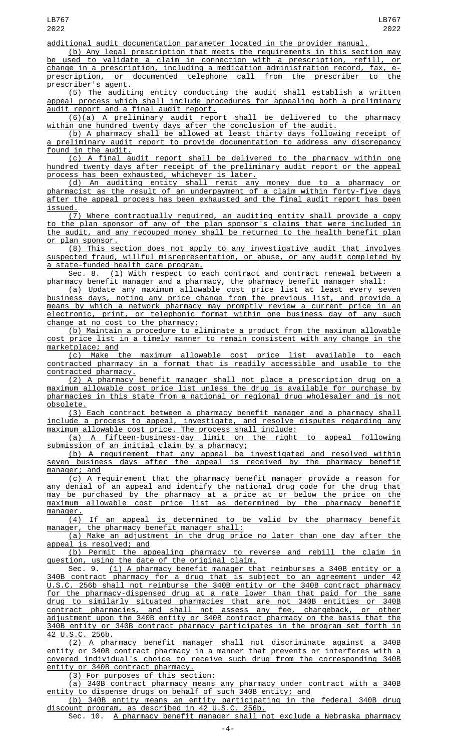additional audit documentation parameter located in the provider manual.

(b) Any legal prescription that meets the requirements in this section may used to validate a claim in connection with a prescription, change in a prescription, including a medication administration record, fax, eprescription, or documented telephone call from the prescriber to the prescriber's agent.

(5) The auditing entity conducting the audit shall establish a written appeal process which shall include procedures for appealing both a preliminary audit report and a final audit report.

(6)(a) A preliminary audit report shall be delivered to the pharmacy within one hundred twenty days after the conclusion of the audit.

(b) A pharmacy shall be allowed at least thirty days following receipt of a preliminary audit report to provide documentation to address any discrepancy found in the audit.

(c) A final audit report shall be delivered to the pharmacy within one hundred twenty days after receipt of the preliminary audit report or the appeal process has been exhausted, whichever is later.

(d) An auditing entity shall remit any money due to a pharmacy or pharmacist as the result of an underpayment of a claim within forty-five days after the appeal process has been exhausted and the final audit report has been issued.

(7) Where contractually required, an auditing entity shall provide a copy to the plan sponsor of any of the plan sponsor's claims that were included in the audit, and any recouped money shall be returned to the health benefit plan or plan sponsor.

(8) This section does not apply to any investigative audit that involves suspected fraud, willful misrepresentation, or abuse, or any audit completed by a state-funded health care program.

Sec. 8. (1) With respect to each contract and contract renewal between a pharmacy benefit manager and a pharmacy, the pharmacy benefit manager shall:

(a) Update any maximum allowable cost price list at least every seven business days, noting any price change from the previous list, and provide a means by which a network pharmacy may promptly review a current price in an electronic, print, or telephonic format within one business day of any such change at no cost to the pharmacy;

(b) Maintain a procedure to eliminate a product from the maximum allowable cost price list in a timely manner to remain consistent with any change in the marketplace; and

(c) Make the maximum allowable cost price list available to each contracted pharmacy in a format that is readily accessible and usable to the contracted pharmacy.

(2) A pharmacy benefit manager shall not place a prescription drug on a maximum allowable cost price list unless the drug is available for purchase by pharmacies in this state from a national or regional drug wholesaler and is not obsolete.

(3) Each contract between a pharmacy benefit manager and a pharmacy shall include a process to appeal, investigate, and resolve disputes regarding any maximum allowable cost price. The process shall include:

(a) A fifteen-business-day limit on the right to appeal following submission of an initial claim by a pharmacy;

(b) A requirement that any appeal be investigated and resolved within seven business days after the appeal is received by the pharmacy benefit manager; and

(c) A requirement that the pharmacy benefit manager provide a reason for any denial of an appeal and identify the national drug code for the drug that may be purchased by the pharmacy at a price at or below the price on the maximum allowable cost price list as determined by the pharmacy benefit manager.

(4) If an appeal is determined to be valid by the pharmacy benefit manager, the pharmacy benefit manager shall:

(a) Make an adjustment in the drug price no later than one day after the appeal is resolved; and<br>(b) Permit the ap

Permit the appealing pharmacy to reverse and rebill the claim in question, using the date of the original claim.

Sec. 9. (1) A pharmacy benefit manager that reimburses a 340B entity or a 340B contract pharmacy for a drug that is subject to an agreement under 42 U.S.C. 256b shall not reimburse the 340B entity or the 340B contract pharmacy for the pharmacy-dispensed drug at a rate lower than that paid for the same drug to similarly situated pharmacies that are not 340B entities or 340B contract pharmacies, and shall not assess any fee, chargeback, or other adjustment upon the 340B entity or 340B contract pharmacy on the basis that the 340B entity or 340B contract pharmacy participates in the program set forth in 42 U.S.C. 256b.

(2) A pharmacy benefit manager shall not discriminate against a 340B entity or 340B contract pharmacy in a manner that prevents or interferes with a covered individual's choice to receive such drug from the corresponding 340B entity or 340B contract pharmacy.

(3) For purposes of this section:

(a) 340B contract pharmacy means any pharmacy under contract with a 340B entity to dispense drugs on behalf of such 340B entity; and

(b) 340B entity means an entity participating in the federal 340B drug discount program, as described in 42 U.S.C. 256b.

Sec. 10. A pharmacy benefit manager shall not exclude a Nebraska pharmacy